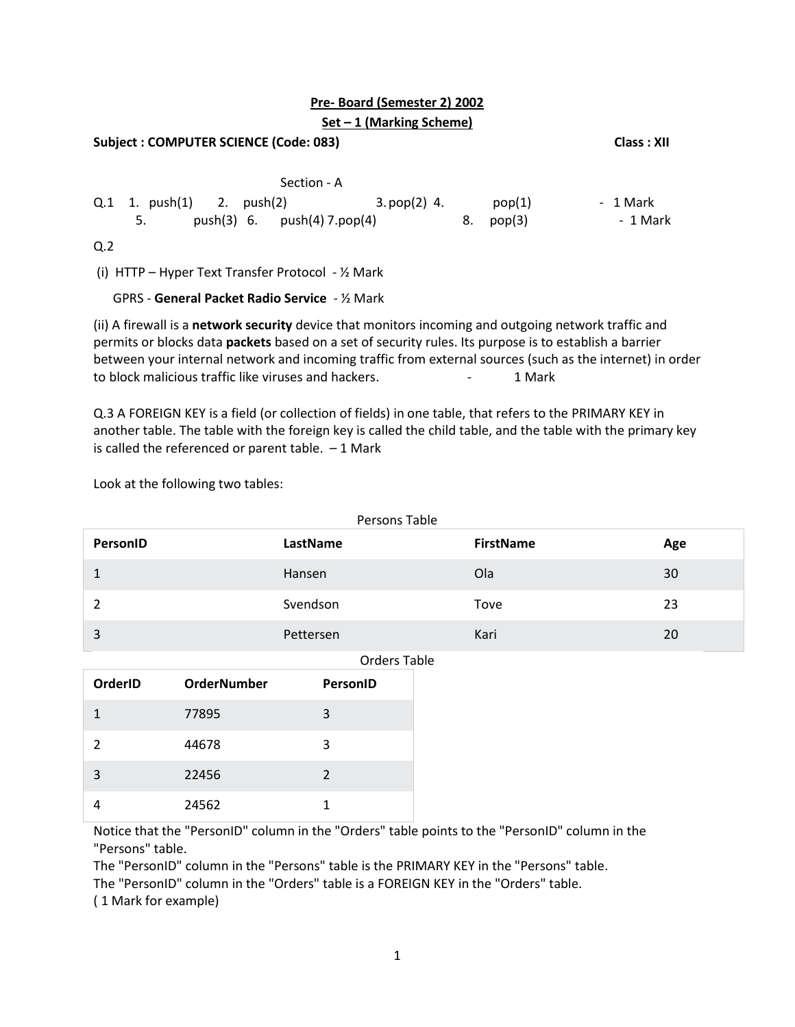# **Pre- Board (Semester 2) 2002**

# **Set – 1 (Marking Scheme)**

| <b>Subject: COMPUTER SCIENCE (Code: 083)</b>                                                    |                        |                      |  |  |  |
|-------------------------------------------------------------------------------------------------|------------------------|----------------------|--|--|--|
| Section - A<br>Q.1 1. push(1) 2. push(2)<br>3. pop(2) 4.<br>push(3) 6. $push(4) 7.pop(4)$<br>5. | pop(1)<br>8.<br>pop(3) | - 1 Mark<br>- 1 Mark |  |  |  |
| Q <sub>2</sub><br>(i) HTTP – Hyper Text Transfer Protocol - $\frac{1}{2}$ Mark                  |                        |                      |  |  |  |

GPRS - **General Packet Radio Service** - ½ Mark

(ii) A firewall is a **[network security](https://www.forcepoint.com/cyber-edu/network-security)** device that monitors incoming and outgoing network traffic and permits or blocks data **[packets](https://www.forcepoint.com/cyber-edu/packet-loss)** based on a set of security rules. Its purpose is to establish a barrier between your internal network and incoming traffic from external sources (such as the internet) in order to block malicious traffic like viruses and hackers. The case of the state of Mark

Q.3 A FOREIGN KEY is a field (or collection of fields) in one table, that refers to the [PRIMARY KEY](https://www.w3schools.com/sql/sql_primarykey.asp) in another table. The table with the foreign key is called the child table, and the table with the primary key is called the referenced or parent table.  $-1$  Mark

Look at the following two tables:

| Persons Table       |                    |                |                  |     |  |  |
|---------------------|--------------------|----------------|------------------|-----|--|--|
| PersonID            |                    | LastName       | <b>FirstName</b> | Age |  |  |
| $\mathbf{1}$        |                    | Hansen         | Ola              | 30  |  |  |
| $\overline{2}$      |                    | Svendson       | Tove             | 23  |  |  |
| $\overline{3}$      |                    | Pettersen      | Kari             | 20  |  |  |
| <b>Orders Table</b> |                    |                |                  |     |  |  |
| OrderID             | <b>OrderNumber</b> | PersonID       |                  |     |  |  |
| $\mathbf{1}$        | 77895              | 3              |                  |     |  |  |
| 2                   | 44678              | 3              |                  |     |  |  |
| 3                   | 22456              | $\overline{2}$ |                  |     |  |  |
| 4                   | 24562              | 1              |                  |     |  |  |

Notice that the "PersonID" column in the "Orders" table points to the "PersonID" column in the "Persons" table.

The "PersonID" column in the "Persons" table is the PRIMARY KEY in the "Persons" table. The "PersonID" column in the "Orders" table is a FOREIGN KEY in the "Orders" table. ( 1 Mark for example)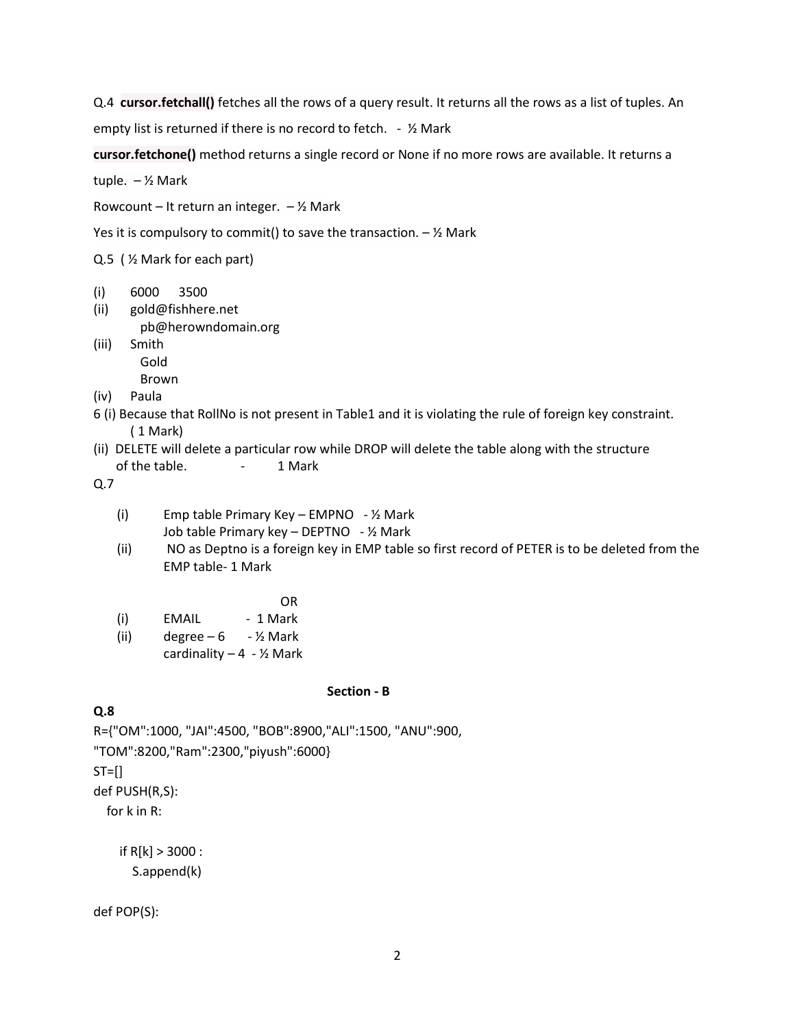Q.4 **cursor.fetchall()** fetches all the rows of a query result. It returns all the rows as a list of tuples. An

empty list is returned if there is no record to fetch. - 1/2 Mark

**cursor.fetchone()** method returns a single record or None if no more rows are available. It returns a

tuple.  $-\frac{1}{2}$  Mark

Rowcount – It return an integer.  $-$  1/2 Mark

Yes it is compulsory to commit() to save the transaction.  $-$  1/2 Mark

Q.5 ( ½ Mark for each part)

- (i) 6000 3500
- (ii) [gold@fishhere.net](mailto:gold@fishhere.net) [pb@herowndomain.org](mailto:pb@herowndomain.org)
- (iii) Smith Gold

Brown

- (iv) Paula
- 6 (i) Because that RollNo is not present in Table1 and it is violating the rule of foreign key constraint. ( 1 Mark)
- (ii) DELETE will delete a particular row while DROP will delete the table along with the structure of the table. - 1 Mark

Q.7

- (i) Emp table Primary Key EMPNO ½ Mark Job table Primary key – DEPTNO - ½ Mark
- (ii) NO as Deptno is a foreign key in EMP table so first record of PETER is to be deleted from the EMP table- 1 Mark

OR

- (i) EMAIL 1 Mark
- (ii) degree  $-6 \frac{1}{2}$  Mark
	- cardinality  $-4 \frac{1}{2}$  Mark

#### **Section - B**

#### **Q.8**

R={"OM":1000, "JAI":4500, "BOB":8900,"ALI":1500, "ANU":900, "TOM":8200,"Ram":2300,"piyush":6000}  $ST=[]$ def PUSH(R,S):

for k in R:

 if R[k] > 3000 : S.append(k)

def POP(S):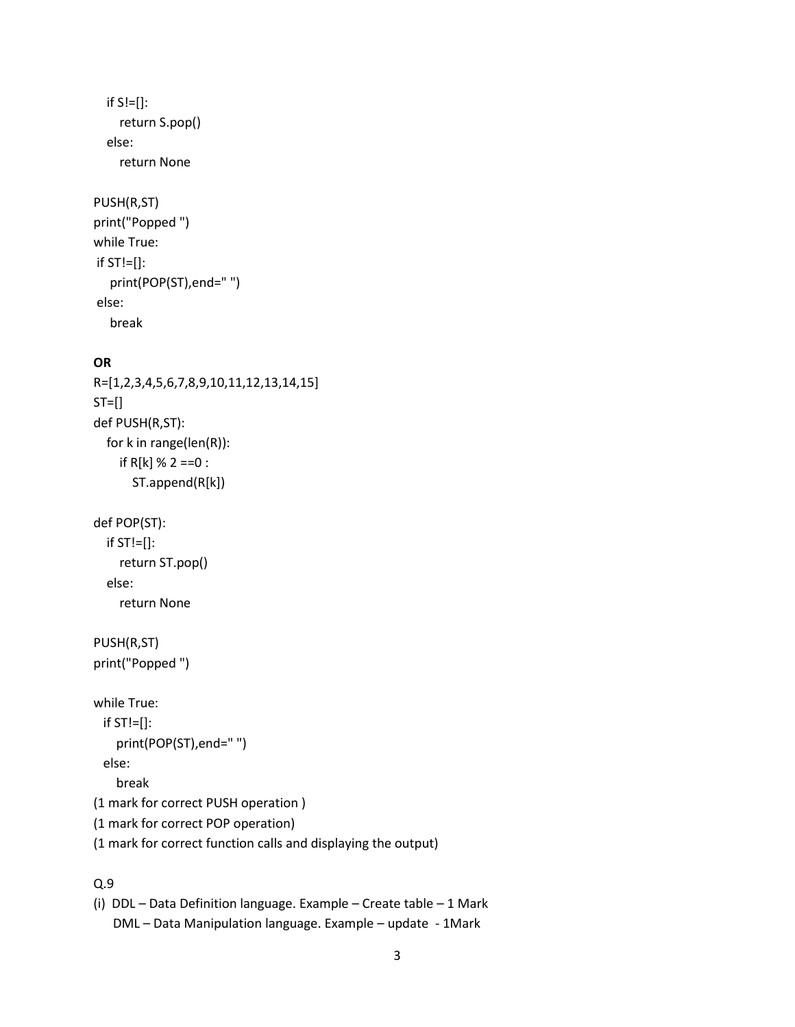```
if S!=[]:
     return S.pop()
   else:
     return None
PUSH(R,ST)
print("Popped ")
while True:
if ST!=[]:
    print(POP(ST),end=" ")
```
#### else:

```
 break
```
#### **OR**

```
R=[1,2,3,4,5,6,7,8,9,10,11,12,13,14,15]
ST=[]def PUSH(R,ST):
   for k in range(len(R)):
    if R[k] % 2 ==0 :
       ST.append(R[k])
```

```
def POP(ST):
```

```
 if ST!=[]:
   return ST.pop()
 else:
   return None
```

```
PUSH(R,ST)
print("Popped ")
```

```
while True:
 if ST!=[]: print(POP(ST),end=" ")
  else:
     break
```

```
(1 mark for correct PUSH operation )
```
- (1 mark for correct POP operation)
- (1 mark for correct function calls and displaying the output)

# Q.9

```
(i) DDL – Data Definition language. Example – Create table – 1 Mark 
    DML – Data Manipulation language. Example – update - 1Mark
```